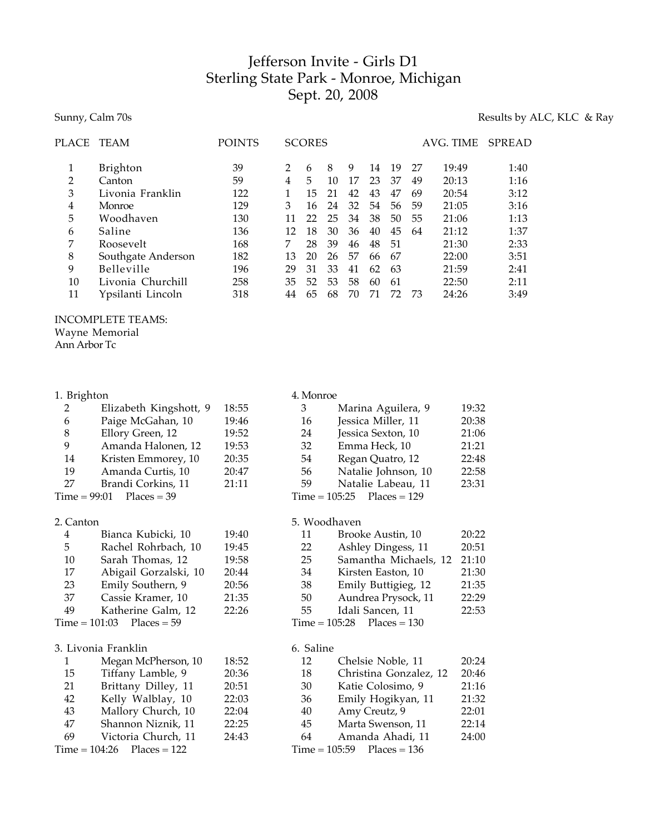# Jefferson Invite - Girls D1 Sterling State Park - Monroe, Michigan Sept. 20, 2008

# Sunny, Calm 70s Results by ALC, KLC & Ray

| PLACE | <b>TEAM</b>        | <b>POINTS</b> |               | <b>SCORES</b> |    |    |    |    |    | AVG. TIME | <b>SPREAD</b> |
|-------|--------------------|---------------|---------------|---------------|----|----|----|----|----|-----------|---------------|
|       | Brighton           | 39            | $\mathcal{P}$ | 6             | 8  | 9  | 14 | 19 | 27 | 19:49     | 1:40          |
| 2     | Canton             | 59            | 4             | 5             | 10 | 17 | 23 | 37 | 49 | 20:13     | 1:16          |
| 3     | Livonia Franklin   | 122           |               | 15            | 21 | 42 | 43 | 47 | 69 | 20:54     | 3:12          |
| 4     | Monroe             | 129           | 3             | 16            | 24 | 32 | 54 | 56 | 59 | 21:05     | 3:16          |
| 5     | Woodhaven          | 130           | 11            | 22            | 25 | 34 | 38 | 50 | 55 | 21:06     | 1:13          |
| 6     | Saline             | 136           | 12            | 18            | 30 | 36 | 40 | 45 | 64 | 21:12     | 1:37          |
| 7     | Roosevelt          | 168           |               | 28            | 39 | 46 | 48 | 51 |    | 21:30     | 2:33          |
| 8     | Southgate Anderson | 182           | 13            | 20            | 26 | 57 | 66 | 67 |    | 22:00     | 3:51          |
| 9     | Belleville         | 196           | 29            | 31            | 33 | 41 | 62 | 63 |    | 21:59     | 2:41          |
| 10    | Livonia Churchill  | 258           | 35            | 52            | 53 | 58 | 60 | 61 |    | 22:50     | 2:11          |
| 11    | Ypsilanti Lincoln  | 318           | 44            | 65            | 68 | 70 | 71 | 77 | 73 | 24:26     | 3:49          |
|       |                    |               |               |               |    |    |    |    |    |           |               |

## INCOMPLETE TEAMS:

Wayne Memorial

Ann Arbor Tc

#### 1. Brighton

| 2  | Elizabeth Kingshott, 9     | 18:55 |
|----|----------------------------|-------|
| 6  | Paige McGahan, 10          | 19:46 |
| 8  | Ellory Green, 12           | 19:52 |
| 9  | Amanda Halonen, 12         | 19:53 |
| 14 | Kristen Emmorey, 10        | 20:35 |
| 19 | Amanda Curtis, 10          | 20:47 |
| 27 | Brandi Corkins, 11         | 21:11 |
|    | $Time = 99:01$ Places = 39 |       |
|    |                            |       |

# 2. Canton

| 4  | Bianca Kubicki, 10          | 19:40 |
|----|-----------------------------|-------|
| 5  | Rachel Rohrbach, 10         | 19:45 |
| 10 | Sarah Thomas, 12            | 19:58 |
| 17 | Abigail Gorzalski, 10       | 20:44 |
| 23 | Emily Southern, 9           | 20:56 |
| 37 | Cassie Kramer, 10           | 21:35 |
| 49 | Katherine Galm, 12          | 22:26 |
|    | $Time = 101:03$ Places = 59 |       |
|    |                             |       |

#### 3. Livonia Franklin

| 1  | Megan McPherson, 10          | 18:52 |
|----|------------------------------|-------|
| 15 | Tiffany Lamble, 9            | 20:36 |
| 21 | Brittany Dilley, 11          | 20:51 |
| 42 | Kelly Walblay, 10            | 22:03 |
| 43 | Mallory Church, 10           | 22:04 |
| 47 | Shannon Niznik, 11           | 22:25 |
| 69 | Victoria Church, 11          | 24:43 |
|    | $Time = 104:26$ Places = 122 |       |
|    |                              |       |

#### 4. Monroe

| 3                            | Marina Aguilera, 9  | 19:32 |  |  |  |
|------------------------------|---------------------|-------|--|--|--|
| 16                           | Jessica Miller, 11  | 20:38 |  |  |  |
| 24                           | Jessica Sexton, 10  | 21:06 |  |  |  |
| 32                           | Emma Heck, 10       | 21:21 |  |  |  |
| 54                           | Regan Quatro, 12    | 22:48 |  |  |  |
| 56                           | Natalie Johnson, 10 | 22:58 |  |  |  |
| 59                           | Natalie Labeau, 11  | 23:31 |  |  |  |
| $Time = 105:25$ Places = 129 |                     |       |  |  |  |

### 5. Woodhaven

| 11 | Brooke Austin, 10            | 20:22 |
|----|------------------------------|-------|
| 22 | Ashley Dingess, 11           | 20:51 |
| 25 | Samantha Michaels, 12        | 21:10 |
| 34 | Kirsten Easton, 10           | 21:30 |
| 38 | Emily Buttigieg, 12          | 21:35 |
| 50 | Aundrea Prysock, 11          | 22:29 |
| 55 | Idali Sancen, 11             | 22:53 |
|    | $Time = 105:28$ Places = 130 |       |
|    |                              |       |

#### 6. Saline

| 12 | Chelsie Noble, 11            | 20:24 |
|----|------------------------------|-------|
| 18 | Christina Gonzalez, 12       | 20:46 |
| 30 | Katie Colosimo, 9            | 21:16 |
| 36 | Emily Hogikyan, 11           | 21:32 |
| 40 | Amy Creutz, 9                | 22:01 |
| 45 | Marta Swenson, 11            | 22:14 |
| 64 | Amanda Ahadi, 11             | 24:00 |
|    | $Time = 105:59$ Places = 136 |       |
|    |                              |       |